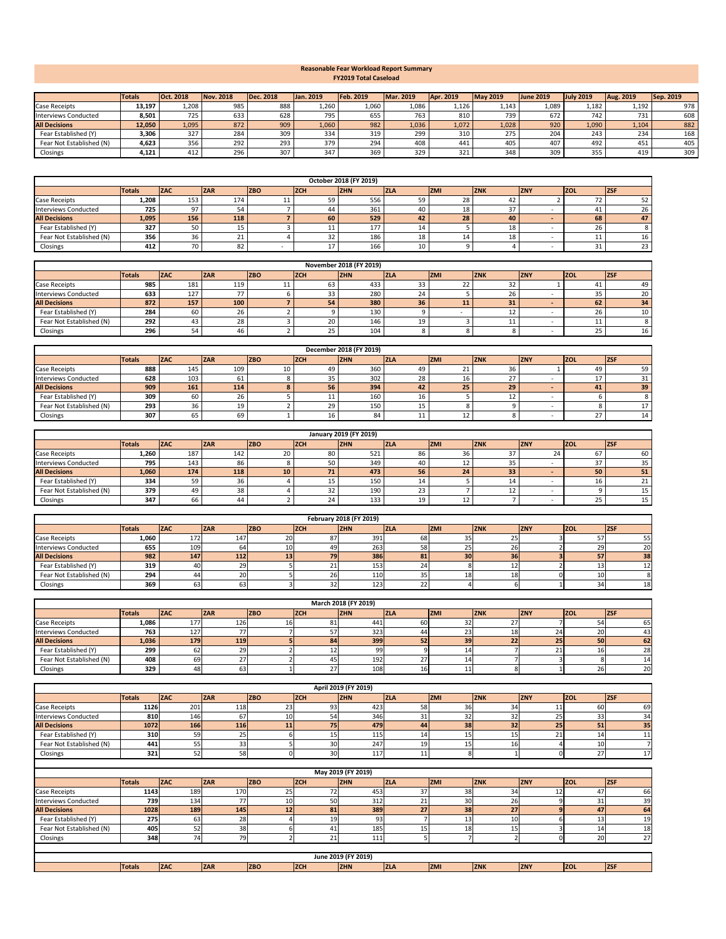|                          | <b>Totals</b> | . 2018<br><b>TOct.</b> | Nov. 2018 | Dec. 2018 | Jan. 2019 | <b>Feb. 2019</b> | Mar. 2019 | <b>Apr. 2019</b> | <b>May 2019</b> | <b>June 2019</b> | <b>July 2019</b> | <b>Aug. 2019</b> | Sep. 2019 |
|--------------------------|---------------|------------------------|-----------|-----------|-----------|------------------|-----------|------------------|-----------------|------------------|------------------|------------------|-----------|
| <b>Case Receipts</b>     | 13,197        | 1,208                  | 985       | 888       | 1,260     | 1,060            | 1,086     | 1,126            | 1,143           | 1,089            | 1,182            | 1,192            | 978       |
| Interviews Conducted     | 8,501         | 725                    | 633       | 628       | 795       | 655              | 763       | 810              | 739             | 672              | 742              | 731              | 608       |
| <b>All Decisions</b>     | 12,050        | 1,095                  | 872       | 909       | 1,060     | 982              | 1,036     | 1,072            | 1,028           | 920              | 1,090            | 1,104            | 882       |
| Fear Established (Y)     | 3,306         | 327                    | 284       | 309       | 334       | 319              | 299       | 310              | 275             | 204              | 243              | 234              | 168       |
| Fear Not Established (N) | 4,623         | 356                    | 292       | 293       | 379       | 294              | 408       | 441              | 405             | 407              | 492              | 451              | 405       |
| Closings                 | 4,121         | 41∠                    | 296       | 307       | 347       | 369              | 329       | 321              | 348             | 309              | 355              | 419              | 309       |

|                          |               |            |     |            |            | October 2018 (FY 2019) |             |            |            |            |              |             |
|--------------------------|---------------|------------|-----|------------|------------|------------------------|-------------|------------|------------|------------|--------------|-------------|
|                          | <b>Totals</b> | IZAC       | ZAR | <b>ZBO</b> | <b>ZCH</b> | <b>ZHN</b>             | <b>IZLA</b> | <b>ZMI</b> | <b>ZNK</b> | <b>ZNY</b> | <b>ZOL</b>   | <b>IZSI</b> |
| <b>Case Receipts</b>     | 1,208         | 153        | 174 |            | 59.        | 556                    |             | 28         | 42         |            | 72           | 52          |
| Interviews Conducted     | 725           | ۵7         |     |            | 44.        | 361                    |             | 18         |            |            |              | 26          |
| <b>All Decisions</b>     | 1,095         | <b>156</b> | 118 |            | 60         | 529                    | 42          | 28         | 40         |            | 68           | 47          |
| Fear Established (Y)     | 327           | 50         | L5. |            | ᆂᆂ         | 177                    |             |            | 18         |            | 26           |             |
| Fear Not Established (N) | 356           | 36         |     |            | 32.        | 186                    |             | 14         | 18         |            | <b>. .</b>   | 16          |
| Closings                 | 412           |            | ٥z. |            |            | 166                    |             |            |            |            | $\sim$<br>51 | 23'         |

|                          |        |     |            |            |            | November 2018 (FY 2019) |            |            |            |            |            |            |
|--------------------------|--------|-----|------------|------------|------------|-------------------------|------------|------------|------------|------------|------------|------------|
|                          | Totals | ZAC | <b>ZAR</b> | <b>ZBO</b> | <b>ZCH</b> | <b>ZHN</b>              | <b>ZLA</b> | <b>ZMI</b> | <b>ZNK</b> | <b>ZNY</b> | <b>ZOL</b> | <b>ZSF</b> |
| <b>Case Receipts</b>     | 985    | 181 | 119        | . .        | 63         | 433                     |            | 22         | ຳາ<br>32   |            |            | 49         |
| Interviews Conducted     | 633    | 127 |            |            | 33         | 280                     |            |            | 26         |            | 35         | 20         |
| <b>All Decisions</b>     | 872    | 157 | 100        |            | 54         | 380                     | 36         | 11         | 31         |            | 62         | 34         |
| Fear Established (Y)     | 284    |     | ۷o         |            |            | 130                     |            |            | ∸∸         |            | 26         |            |
| Fear Not Established (N) | 292    | 43  |            |            | 20         | 146                     | 1 O        |            | .          |            | 11         |            |
| Closings                 | 296    |     |            |            | 25.        | 104                     |            |            |            |            | 25         | 16         |

|                             |               |                                 |            |            |            | December 2018 (FY 2019) |            |                 |            |            |            |            |
|-----------------------------|---------------|---------------------------------|------------|------------|------------|-------------------------|------------|-----------------|------------|------------|------------|------------|
|                             | <b>Totals</b> | <b>IZAC</b>                     | <b>ZAR</b> | <b>ZBO</b> | <b>ZCH</b> | <b>ZHN</b>              | <b>ZLA</b> | <b>ZMI</b>      | <b>ZNK</b> | <b>ZNY</b> | <b>ZOL</b> | <b>ZSF</b> |
| <b>Case Receipts</b>        | 888           | 145                             | 109        | 10         | 49         | 360                     | 49         | 21              | 36         |            | 49         | 59         |
| <b>Interviews Conducted</b> | 628           | 103                             | ЮI         |            | 35         | 302                     | 28         | 16.             |            |            |            |            |
| <b>All Decisions</b>        | 909           | 161                             | 114        |            | 56         | 394                     | 42         | 25 <sub>1</sub> | 29         |            | 41         | 39         |
| Fear Established (Y)        | 309           | ы                               | ۷o         |            | 11         | 160                     | 16         |                 | ᆠ          |            |            |            |
| Fear Not Established (N)    | 293           | $\overline{\phantom{a}}$<br>ں ر |            |            | 29         | 150                     |            |                 |            |            |            |            |
| Closings                    | 307           |                                 | 69         |            | 16         | 84                      |            |                 |            |            |            | 14         |

|                             |                                                                                                                                                              |     |     |           |     | January 2019 (FY 2019) |                    |    |    |  |     |    |  |
|-----------------------------|--------------------------------------------------------------------------------------------------------------------------------------------------------------|-----|-----|-----------|-----|------------------------|--------------------|----|----|--|-----|----|--|
|                             | <b>ZBO</b><br><b>ZAR</b><br><b>ZSF</b><br><b>ZOL</b><br><b>ZCH</b><br><b>ZHN</b><br><b>ZMI</b><br><b>ZNY</b><br><b>ZNK</b><br><b>ZLA</b><br> ZAC <br> Totals |     |     |           |     |                        |                    |    |    |  |     |    |  |
| <b>Case Receipts</b>        | 1,260                                                                                                                                                        | 187 | 142 | 20        | 80  | 521                    | 86                 | 36 |    |  | o / | 60 |  |
| <b>Interviews Conducted</b> | 795                                                                                                                                                          | 143 | 86  |           | 50  | 349                    | 40                 | ŦV | 35 |  | ، ب | 35 |  |
| <b>All Decisions</b>        | 1,060                                                                                                                                                        | 174 | 118 | <b>10</b> | 71. | 473                    | 56                 | 24 | 33 |  | 50  | 51 |  |
| Fear Established (Y)        | 334                                                                                                                                                          | 59  | 36  |           | ⊥J  | 150                    | -14                |    | 14 |  | 16  |    |  |
| Fear Not Established (N)    | 379                                                                                                                                                          | 49  | 38  |           | 32  | 190                    | $\sim$<br><u>_</u> |    |    |  |     |    |  |
| Closings                    | 347                                                                                                                                                          | 66  | 44  |           | 24  | 133                    |                    | ᅩᄼ |    |  | 25  |    |  |

|                             |        |            |            |            |            | <b>February 2018 (FY 2019)</b> |            |            |                 |            |                 |            |
|-----------------------------|--------|------------|------------|------------|------------|--------------------------------|------------|------------|-----------------|------------|-----------------|------------|
|                             | Totals | <b>ZAC</b> | <b>ZAR</b> | <b>ZBO</b> | <b>ZCH</b> | <b>ZHN</b>                     | <b>ZLA</b> | <b>ZMI</b> | <b>ZNK</b>      | <b>ZNY</b> | <b>ZOL</b>      | <b>ZSF</b> |
| <b>Case Receipts</b>        | 1,060  | 172        | 147        | 20         |            | 391                            | 681        | 35         | כ∠              |            |                 | 55l        |
| <b>Interviews Conducted</b> | 655    | 109        | 04         | τn         | 49         | 263                            | 58 I       | 25         | 26 I            |            | 29              | 20         |
| <b>All Decisions</b>        | 982    | <b>147</b> | $112$      | 13         | <b>79</b>  | 386                            | 81         | 30         | 36              |            | 57              | 38         |
| Fear Established (Y)        | 319    | 40         |            |            |            | 153                            |            |            |                 |            |                 |            |
| Fear Not Established (N)    | 294    | 44         | <b>20</b>  |            | 26         | 110                            | $\sim$     | 18         | 18 <sub>l</sub> |            | 10 <sub>l</sub> |            |
| Closings                    | 369    | 631        | 631        |            |            | 123                            | ے          |            |                 |            |                 | 18         |

|                             |               |      |            |            |             | March 2018 (FY 2019) |             |            |            |                 |              |                 |
|-----------------------------|---------------|------|------------|------------|-------------|----------------------|-------------|------------|------------|-----------------|--------------|-----------------|
|                             | <b>Totals</b> | ZAC  | <b>ZAR</b> | <b>ZBO</b> | <b>IZCH</b> | <b>ZHN</b>           | <b>IZLA</b> | <b>ZMI</b> | <b>ZNK</b> | <b>ZNY</b>      | <b>VIZOL</b> | <b>ZSF</b>      |
| <b>Case Receipts</b>        | 1,086         | 177  | 126        | 16         | 81          | 441                  | 60 I        | 32         |            |                 | 54           | 65 <b>I</b>     |
| <b>Interviews Conducted</b> | 763           | 127  |            |            |             | 323                  | 44          | 23         | 18         | 24              | 20           | 43              |
| <b>All Decisions</b>        | 1,036         | 179  | <b>119</b> |            | <b>841</b>  | 399                  | 521         | 39         | 22         | 25 <sub>l</sub> | 50           | 62              |
| Fear Established (Y)        | 299           | 62   |            |            |             | 99                   |             |            |            |                 | 16           | 28              |
| Fear Not Established (N)    | 408           | 69   |            |            |             | 192                  |             |            |            |                 |              | 14I             |
| Closings                    | 329           | 48 I |            |            |             | 108                  | LO.         |            |            |                 | 26           | 20 <sup>1</sup> |

**Totals ZAC ZAR ZBO ZCH ZHN ZLA ZMI ZNK ZNY ZOL ZSF**

|                                                                                                                                                                   |               |            |            |            |            | April 2019 (FY 2019) |            |            |            |                 |            |     |  |  |
|-------------------------------------------------------------------------------------------------------------------------------------------------------------------|---------------|------------|------------|------------|------------|----------------------|------------|------------|------------|-----------------|------------|-----|--|--|
|                                                                                                                                                                   | <b>Totals</b> | <b>ZAC</b> | <b>ZAR</b> | <b>ZBO</b> | <b>ZCH</b> | <b>ZHN</b>           | <b>ZLA</b> | <b>ZMI</b> | <b>ZNK</b> | <b>ZNY</b>      | <b>ZOL</b> | ZSF |  |  |
| <b>Case Receipts</b>                                                                                                                                              | 1126          | 201        | 118        | 23         | 93         | 423                  | 58         | 36         | 34         | 11              | 60         | 69  |  |  |
| <b>Interviews Conducted</b>                                                                                                                                       | 810           | 146        | 67         | 10         | 54         | 346                  | 31         | 32         | 32         | 25              | 33         | 34  |  |  |
| <b>All Decisions</b>                                                                                                                                              | 1072          | 166        | 116        | 11         | 75         | 479                  | 44         | 38         | 32         | 25              | 51         | 35  |  |  |
| Fear Established (Y)                                                                                                                                              | 310           | 59         | 25         | 6          | 15         | 115                  | 14         | 15         | 15         | 21              | 14         | 11  |  |  |
| Fear Not Established (N)                                                                                                                                          | 441           | 55         | 33         |            | 30         | 247                  | 19         | 15         | 16         |                 | 10         |     |  |  |
| Closings                                                                                                                                                          | 321           | 52         | 58         | $\Omega$   | 30         | 117                  | 11         | 8          |            |                 | 27         | 17  |  |  |
| May 2019 (FY 2019)                                                                                                                                                |               |            |            |            |            |                      |            |            |            |                 |            |     |  |  |
|                                                                                                                                                                   |               |            |            |            |            |                      |            |            |            |                 |            |     |  |  |
| ZSF <br><b>ZAC</b><br><b>ZBO</b><br><b>ZHN</b><br><b>ZOL</b><br><b>ZAR</b><br><b>ZCH</b><br><b>ZLA</b><br><b>ZMI</b><br><b>ZNK</b><br><b>ZNY</b><br><b>Totals</b> |               |            |            |            |            |                      |            |            |            |                 |            |     |  |  |
| <b>Case Receipts</b>                                                                                                                                              | 1143          | 189        | 170        | 25         | 72         | 453                  | 37         | 38         | 34         | 12 <sub>1</sub> | 47         | 66  |  |  |
| <b>Interviews Conducted</b>                                                                                                                                       | 739           | 134        | 77         | 10         | 50         | 312                  | 21         | 30         | 26         |                 | 31         | 39  |  |  |
| <b>All Decisions</b>                                                                                                                                              | 1028          | 189        | 145        | 12         | 81         | 389                  | 27         | 38         | 27         |                 | 47         | 64  |  |  |
| Fear Established (Y)                                                                                                                                              | 275           | 63         | 28         |            | 19         | 93                   |            | 13         | 10         |                 | 13         | 19  |  |  |
| Fear Not Established (N)                                                                                                                                          | 405           | 52         | 38         |            | 41         | 185                  | 15         | 18         | 15         |                 | 14         | 18  |  |  |
| Closings                                                                                                                                                          | 348           | 74         | 79         |            | 21         | 111                  | כ          |            |            |                 | 20         | 27  |  |  |
|                                                                                                                                                                   |               |            |            |            |            | June 2019 (FY 2019)  |            |            |            |                 |            |     |  |  |

## **Reasonable Fear Workload Report Summary FY2019 Total Caseload**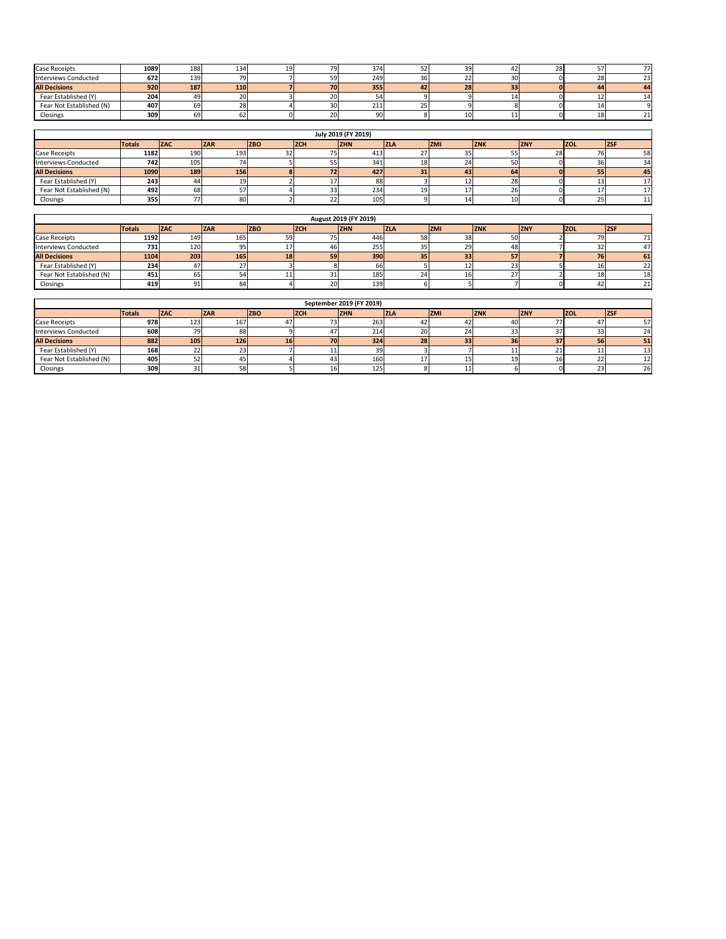| <b>Case Receipts</b>     | 1089 | 188 | 134        | ا ۱۵<br>ᅩᄀ | 79I       | 374         | 39              | 42 | 28 |    |     |
|--------------------------|------|-----|------------|------------|-----------|-------------|-----------------|----|----|----|-----|
| Interviews Conducted     | 672  | 139 |            |            |           | 249         | 22              | 30 |    | 28 | 23. |
| <b>All Decisions</b>     | 920  | 187 | <b>110</b> |            | <b>70</b> | 355         | <b>28</b>       | 33 |    | 44 | 44  |
| Fear Established (Y)     | 204  |     |            |            | וט∠       |             |                 |    |    |    |     |
| Fear Not Established (N) | 407  |     |            |            | 30        | 24.5<br>ᇫᆂᆂ |                 |    |    |    |     |
| Closings                 | 309  |     | OZ.        |            | 20        |             | 10 <sub>l</sub> | ∸  |    | 18 |     |

|                             |               |             |            |            |            | July 2019 (FY 2019) |            |            |            |            |             |                 |
|-----------------------------|---------------|-------------|------------|------------|------------|---------------------|------------|------------|------------|------------|-------------|-----------------|
|                             | <b>Totals</b> | <b>IZAC</b> | <b>ZAR</b> | <b>ZBO</b> | <b>ZCH</b> | <b>IZHN</b>         | <b>ZLA</b> | <b>ZMI</b> | <b>ZNK</b> | <b>ZNY</b> | <b>IZOL</b> | ZSI             |
| <b>Case Receipts</b>        | 1182          | 190         | 193        |            | כ ו        | 413                 |            | 35         | ככ         | 28         |             | 58              |
| <b>Interviews Conducted</b> | 742           | 105         |            |            |            | 341                 | 181        | 24         | 50         |            | 36          | 34              |
| <b>All Decisions</b>        | 1090          | <b>189</b>  | 156        |            | 72         | 427                 |            | 43         | 64         |            | 55          | 45              |
| Fear Established (Y)        | 243           |             |            |            |            | 881                 |            | ┸          | 28         |            |             | 17 <sup>1</sup> |
| Fear Not Established (N)    | 492           |             |            |            |            | 234                 | 191        |            | 26         |            |             | 17 <sup>1</sup> |
| Closings                    | 355           |             | 80         |            |            | 105                 |            | 14         | 10         |            | 25          | 11              |

|                             |               |            |            |                 |             | August 2019 (FY 2019) |            |                 |            |            |            |            |
|-----------------------------|---------------|------------|------------|-----------------|-------------|-----------------------|------------|-----------------|------------|------------|------------|------------|
|                             | <b>Totals</b> | <b>ZAC</b> | <b>ZAR</b> | <b>ZBO</b>      | <b>IZCH</b> | <b>ZHN</b>            | <b>ZLA</b> | <b>ZMI</b>      | <b>ZNK</b> | <b>ZNY</b> | <b>ZOL</b> | <b>ZSF</b> |
| <b>Case Receipts</b>        | 1192          | 149        | 165        | 59              |             | 446                   | 58         | 38              | 50         |            |            |            |
| <b>Interviews Conducted</b> | 731           | 120        | 95         |                 |             | 255                   |            | 29              | 48         |            | 32         | 47         |
| <b>All Decisions</b>        | 1104          | 203        | <b>165</b> | 18 <sup>1</sup> | 59          | 390                   | 351        | 33 <sup>1</sup> | 57         |            | 76         | 61         |
| Fear Established (Y)        | 234           |            |            |                 |             | bbl                   |            | ᆠ               | 23         |            | 16         | 221        |
| Fear Not Established (N)    | 451           | כס         |            |                 |             | 185                   |            | 16              |            |            | 18         | 18         |
| Closings                    | 419           | -91.       | 84         |                 | 20          | 139                   |            |                 |            |            | 42         | 21         |

|                          |               |                  |            |            |            | September 2019 (FY 2019) |             |            |            |            |             |                 |
|--------------------------|---------------|------------------|------------|------------|------------|--------------------------|-------------|------------|------------|------------|-------------|-----------------|
|                          | <b>Totals</b> | <b>IZAC</b>      | <b>ZAR</b> | <b>ZBO</b> | <b>ZCH</b> | <b>ZHN</b>               | <b>IZLA</b> | <b>ZMI</b> | <b>ZNK</b> | <b>ZNY</b> | <b>IZOL</b> | <b>ZSF</b>      |
| <b>Case Receipts</b>     | 978           | 123 <sub>1</sub> | 167        | 47         |            | 263                      |             | 42         | 40         |            |             | 57I             |
| Interviews Conducted     | 608           |                  | 88         |            |            | 214                      | <b>20</b>   | 24         | 33         |            | 33          | 24              |
| <b>All Decisions</b>     | 882           | 105              | <b>126</b> | <b>16</b>  | 70         | 324                      | 28          | 33         | 36         | 37         | 56          | 51              |
| Fear Established (Y)     | 168           |                  |            |            |            | 39.                      |             |            |            |            |             | 13              |
| Fear Not Established (N) | 405           |                  |            |            | 43         | 160                      |             |            | 19         | 16         | 22          | 12 <sub>l</sub> |
| Closings                 | 309           |                  |            |            | 16I        | 125                      |             | ᆂᆂ         |            |            | 23          | <b>26</b>       |